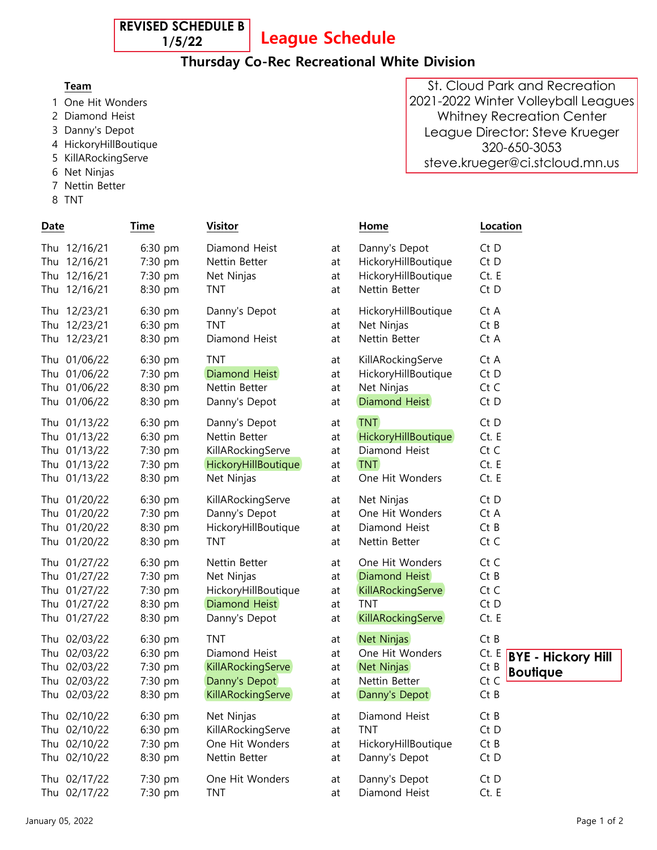**REVISED SCHEDULE B 1/5/22**

League Schedule

## Thursday Co-Rec Recreational White Division

- 1 One Hit Wonders
- 2 Diamond Heist
- 3 Danny's Depot
- 4 HickoryHillBoutique
- 5 KillARockingServe
- 6 Net Ninjas
- 7 Nettin Better
- 8 TNT David Kruger Home 320-333-6762 STNT

| Date                                                                         | Time                                                  | <b>Visitor</b>                                                                         |                            | Home                                                                          | Location                                                                              |
|------------------------------------------------------------------------------|-------------------------------------------------------|----------------------------------------------------------------------------------------|----------------------------|-------------------------------------------------------------------------------|---------------------------------------------------------------------------------------|
| Thu 12/16/21                                                                 | 6:30 pm                                               | Diamond Heist                                                                          | at                         | Danny's Depot                                                                 | Ct D                                                                                  |
| Thu 12/16/21                                                                 | 7:30 pm                                               | Nettin Better                                                                          | at                         | HickoryHillBoutique                                                           | Ct D                                                                                  |
| Thu 12/16/21                                                                 | 7:30 pm                                               | Net Ninjas                                                                             | at                         | HickoryHillBoutique                                                           | Ct. E                                                                                 |
| Thu 12/16/21                                                                 | 8:30 pm                                               | <b>TNT</b>                                                                             | at                         | Nettin Better                                                                 | Ct D                                                                                  |
| Thu 12/23/21                                                                 | 6:30 pm                                               | Danny's Depot                                                                          | at                         | HickoryHillBoutique                                                           | Ct A                                                                                  |
| Thu 12/23/21                                                                 | 6:30 pm                                               | <b>TNT</b>                                                                             | at                         | Net Ninjas                                                                    | CtB                                                                                   |
| Thu 12/23/21                                                                 | 8:30 pm                                               | Diamond Heist                                                                          | at                         | Nettin Better                                                                 | Ct A                                                                                  |
| Thu 01/06/22                                                                 | 6:30 pm                                               | <b>TNT</b>                                                                             | at                         | KillARockingServe                                                             | Ct A                                                                                  |
| Thu 01/06/22                                                                 | 7:30 pm                                               | Diamond Heist                                                                          | at                         | HickoryHillBoutique                                                           | Ct D                                                                                  |
| Thu 01/06/22                                                                 | 8:30 pm                                               | Nettin Better                                                                          | at                         | Net Ninjas                                                                    | Ct C                                                                                  |
| Thu 01/06/22                                                                 | 8:30 pm                                               | Danny's Depot                                                                          | at                         | Diamond Heist                                                                 | Ct D                                                                                  |
| Thu 01/13/22                                                                 | 6:30 pm                                               | Danny's Depot                                                                          | at                         | <b>TNT</b>                                                                    | Ct D                                                                                  |
| Thu 01/13/22                                                                 | 6:30 pm                                               | Nettin Better                                                                          | at                         | HickoryHillBoutique                                                           | Ct. E                                                                                 |
| Thu 01/13/22                                                                 | 7:30 pm                                               | KillARockingServe                                                                      | at                         | Diamond Heist                                                                 | Ct C                                                                                  |
| Thu 01/13/22                                                                 | 7:30 pm                                               | <b>HickoryHillBoutique</b>                                                             | at                         | <b>TNT</b>                                                                    | Ct. E                                                                                 |
| Thu 01/13/22                                                                 | 8:30 pm                                               | Net Ninjas                                                                             | at                         | One Hit Wonders                                                               | Ct. E                                                                                 |
| Thu 01/20/22                                                                 | 6:30 pm                                               | KillARockingServe                                                                      | at                         | Net Ninjas                                                                    | Ct D                                                                                  |
| Thu 01/20/22                                                                 | 7:30 pm                                               | Danny's Depot                                                                          | at                         | One Hit Wonders                                                               | Ct A                                                                                  |
| Thu 01/20/22                                                                 | 8:30 pm                                               | HickoryHillBoutique                                                                    | at                         | Diamond Heist                                                                 | CtB                                                                                   |
| Thu 01/20/22                                                                 | 8:30 pm                                               | <b>TNT</b>                                                                             | at                         | Nettin Better                                                                 | Ct C                                                                                  |
| Thu 01/27/22                                                                 | $6:30$ pm                                             | Nettin Better                                                                          | at                         | One Hit Wonders                                                               | Ct C                                                                                  |
| Thu 01/27/22                                                                 | 7:30 pm                                               | Net Ninjas                                                                             | at                         | Diamond Heist                                                                 | CtB                                                                                   |
| Thu 01/27/22                                                                 | 7:30 pm                                               | HickoryHillBoutique                                                                    | at                         | KillARockingServe                                                             | Ct C                                                                                  |
| Thu 01/27/22                                                                 | 8:30 pm                                               | Diamond Heist                                                                          | at                         | <b>TNT</b>                                                                    | Ct D                                                                                  |
| Thu 01/27/22                                                                 | 8:30 pm                                               | Danny's Depot                                                                          | at                         | KillARockingServe                                                             | Ct. E                                                                                 |
| Thu 02/03/22<br>Thu 02/03/22<br>Thu 02/03/22<br>Thu 02/03/22<br>Thu 02/03/22 | $6:30$ pm<br>6:30 pm<br>7:30 pm<br>7:30 pm<br>8:30 pm | <b>TNT</b><br>Diamond Heist<br>KillARockingServe<br>Danny's Depot<br>KillARockingServe | at<br>at<br>at<br>at<br>at | Net Ninjas<br>One Hit Wonders<br>Net Ninjas<br>Nettin Better<br>Danny's Depot | CtB<br>Ct. E<br><b>BYE - Hickory Hill</b><br>$Ct$ B<br><b>Boutique</b><br>Ct C<br>CtB |
| Thu 02/10/22                                                                 | 6:30 pm                                               | Net Ninjas                                                                             | at                         | Diamond Heist                                                                 | $Ct$ B                                                                                |
| Thu 02/10/22                                                                 | 6:30 pm                                               | KillARockingServe                                                                      | at                         | <b>TNT</b>                                                                    | Ct D                                                                                  |
| Thu 02/10/22                                                                 | 7:30 pm                                               | One Hit Wonders                                                                        | at                         | HickoryHillBoutique                                                           | $Ct$ B                                                                                |
| Thu 02/10/22                                                                 | 8:30 pm                                               | Nettin Better                                                                          | at                         | Danny's Depot                                                                 | Ct D                                                                                  |
| Thu 02/17/22                                                                 | 7:30 pm                                               | One Hit Wonders                                                                        | at                         | Danny's Depot                                                                 | Ct D                                                                                  |
| Thu 02/17/22                                                                 | 7:30 pm                                               | <b>TNT</b>                                                                             | at                         | Diamond Heist                                                                 | Ct. E                                                                                 |

Team Contact Person Phone Email Phone Email Phone Email Phone Email Phone Email Phone Email Phone Email Phone E St. Cloud Park and Recreation 2021-2022 Winter Volleyball Leagues Whitney Recreation Center League Director: Steve Krueger 320-650-3053 steve.krueger@ci.stcloud.mn.us